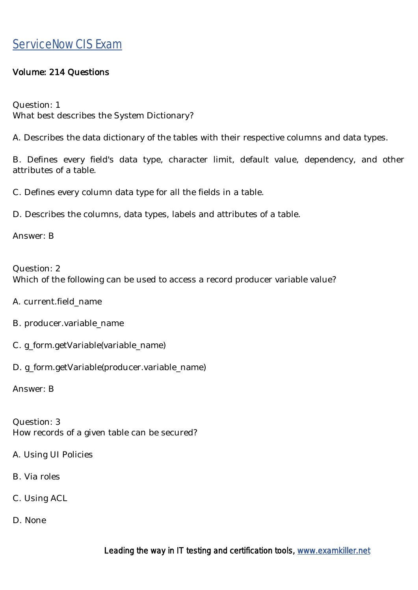#### Volume: 214 Questions

Question: 1 What best describes the System Dictionary?

A. Describes the data dictionary of the tables with their respective columns and data types.

B. Defines every field's data type, character limit, default value, dependency, and other attributes of a table.

C. Defines every column data type for all the fields in a table.

D. Describes the columns, data types, labels and attributes of a table.

Answer: B

Question: 2 Which of the following can be used to access a record producer variable value?

A. current.field\_name

- B. producer.variable\_name
- C. g\_form.getVariable(variable\_name)
- D. g\_form.getVariable(producer.variable\_name)

Answer: B

Question: 3 How records of a given table can be secured?

- A. Using UI Policies
- B. Via roles
- C. Using ACL
- D. None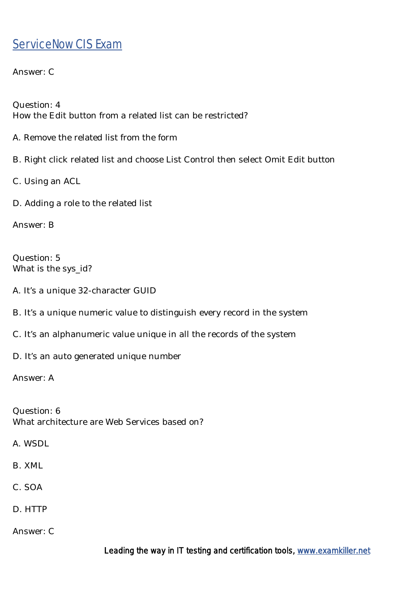Answer: C

Question: 4 How the Edit button from a related list can be restricted?

- A. Remove the related list from the form
- B. Right click related list and choose List Control then select Omit Edit button
- C. Using an ACL
- D. Adding a role to the related list

Answer: B

Question: 5 What is the sys id?

A. It's a unique 32-character GUID

- B. It's a unique numeric value to distinguish every record in the system
- C. It's an alphanumeric value unique in all the records of the system

D. It's an auto generated unique number

Answer: A

Question: 6 What architecture are Web Services based on?

A. WSDL

B. XML

C. SOA

D. HTTP

Answer: C

Leading the way in IT testing and certification tools, www.examkiller.net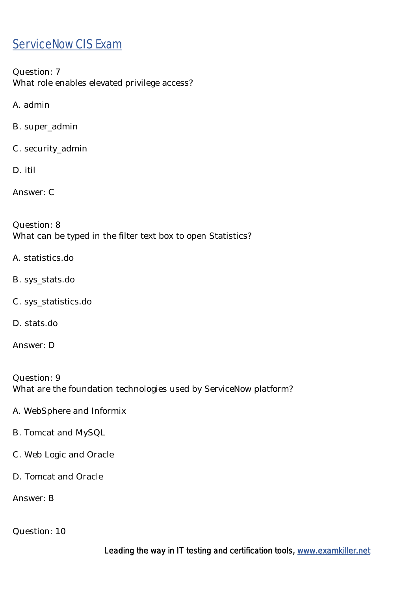Question: 7 What role enables elevated privilege access?

A. admin

B. super\_admin

C. security\_admin

D. itil

Answer: C

Question: 8 What can be typed in the filter text box to open Statistics?

- A. statistics.do
- B. sys\_stats.do
- C. sys\_statistics.do
- D. stats.do

Answer: D

Question: 9 What are the foundation technologies used by ServiceNow platform?

- A. WebSphere and Informix
- B. Tomcat and MySQL
- C. Web Logic and Oracle
- D. Tomcat and Oracle

Answer: B

Question: 10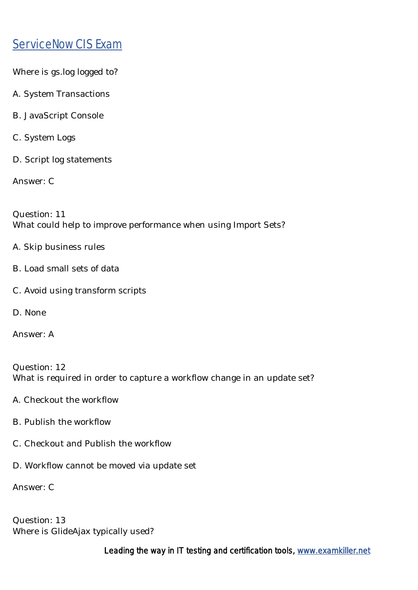Where is gs.log logged to?

- A. System Transactions
- B. JavaScript Console
- C. System Logs
- D. Script log statements

Answer: C

Question: 11 What could help to improve performance when using Import Sets?

- A. Skip business rules
- B. Load small sets of data
- C. Avoid using transform scripts
- D. None

Answer: A

Question: 12 What is required in order to capture a workflow change in an update set?

- A. Checkout the workflow
- B. Publish the workflow
- C. Checkout and Publish the workflow
- D. Workflow cannot be moved via update set

Answer: C

Question: 13 Where is GlideAjax typically used?

Leading the way in IT testing and certification tools, [www.examkiller.net](https://www.examkiller.net/)